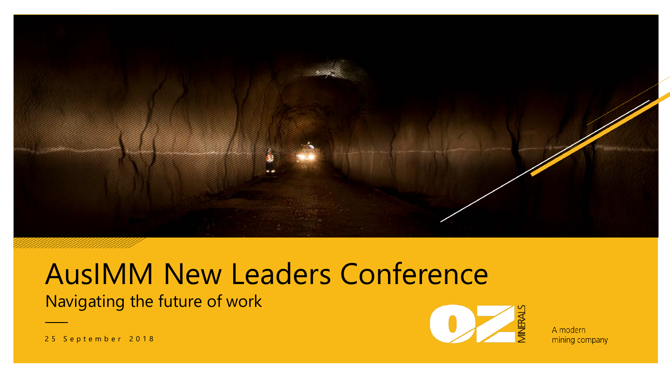

#### Navigating the future of work AusIMM New Leaders Conference



A modern mining company

25 September 2018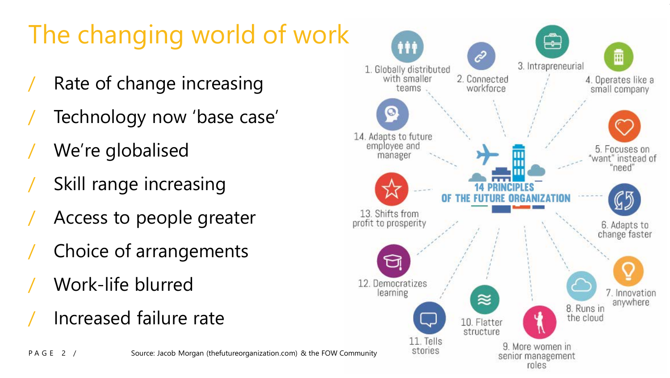# The changing world of work

- Rate of change increasing
- / Technology now 'base case'
- We're globalised
- Skill range increasing
- / Access to people greater
- Choice of arrangements
- / Work-life blurred
- / Increased failure rate

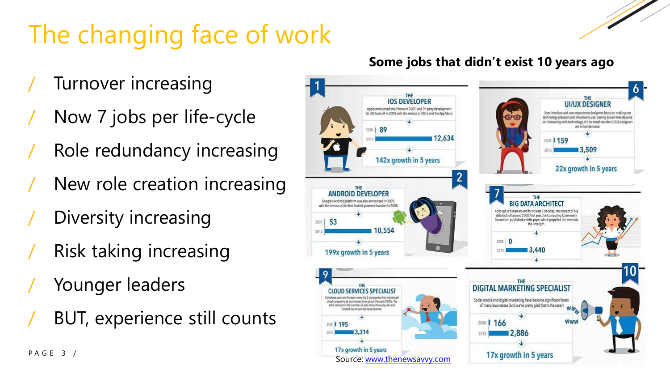# The changing face of work

- Turnover increasing
- Now 7 jobs per life-cycle
- Role redundancy increasing
- New role creation increasing
- Diversity increasing
- Risk taking increasing
- Younger leaders
- BUT, experience still counts

#### **Some jobs that didn't exist 10 years ago**

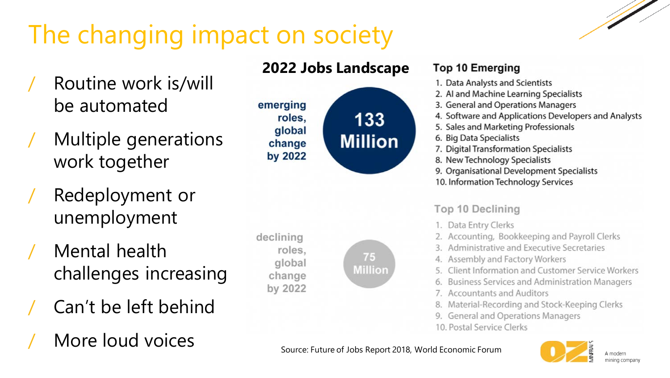## The changing impact on society

- Routine work is/will be automated
- / Multiple generations work together
- Redeployment or unemployment
- / Mental health challenges increasing
- / Can't be left behind
- More loud voices

#### **2022 Jobs Landscape**



declining roles. global change by 2022

#### **Top 10 Emerging**

- 1. Data Analysts and Scientists
- 2. Al and Machine Learning Specialists
- 3. General and Operations Managers
- 4. Software and Applications Developers and Analysts
- 5. Sales and Marketing Professionals
- 6. Big Data Specialists
- 7. Digital Transformation Specialists
- 8. New Technology Specialists
- 9. Organisational Development Specialists
- 10. Information Technology Services

#### **Top 10 Declining**

- 1. Data Entry Clerks
- 2. Accounting, Bookkeeping and Payroll Clerks
- 3. Administrative and Executive Secretaries
- 4. Assembly and Factory Workers
- 5. Client Information and Customer Service Workers
- 6. Business Services and Administration Managers
- 7. Accountants and Auditors
- 8. Material-Recording and Stock-Keeping Clerks
- 9. General and Operations Managers
- 10. Postal Service Clerks



Source: Future of Jobs Report 2018, World Economic Forum

75

**Million**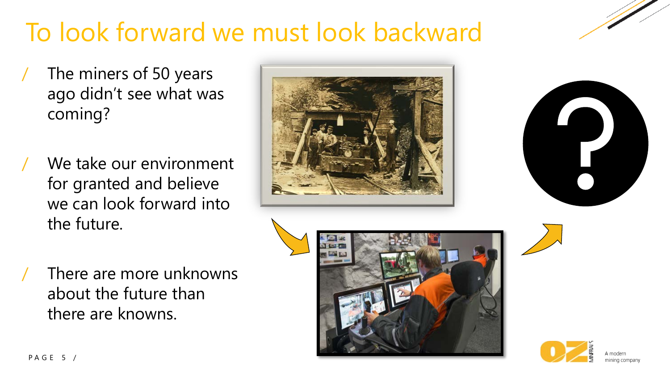### To look forward we must look backward

- The miners of 50 years ago didn't see what was coming?
- We take our environment for granted and believe we can look forward into the future.





There are more unknowns about the future than there are knowns.





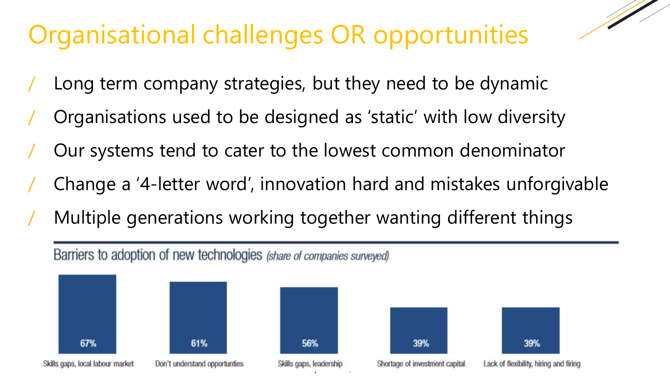### Organisational challenges OR opportunities

- Long term company strategies, but they need to be dynamic
- / Organisations used to be designed as 'static' with low diversity
- / Our systems tend to cater to the lowest common denominator
- / Change a '4-letter word', innovation hard and mistakes unforgivable
- / Multiple generations working together wanting different things

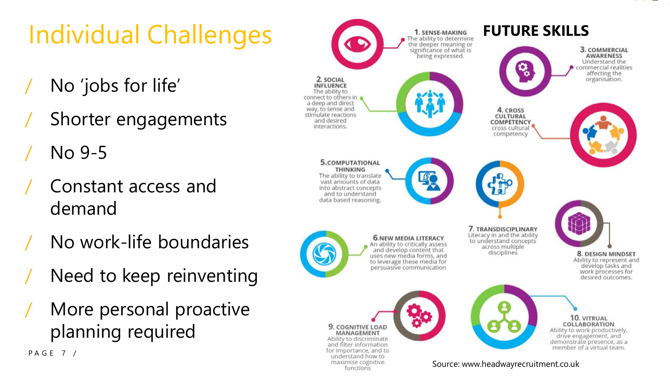# Individual Challenges

- / No 'jobs for life'
- Shorter engagements
- $N<sub>0</sub>$  9-5

PAGE 7 /

- / Constant access and demand
- / No work-life boundaries
- Need to keep reinventing
- More personal proactive planning required



Source: www.headwayrecruitment.co.uk

functions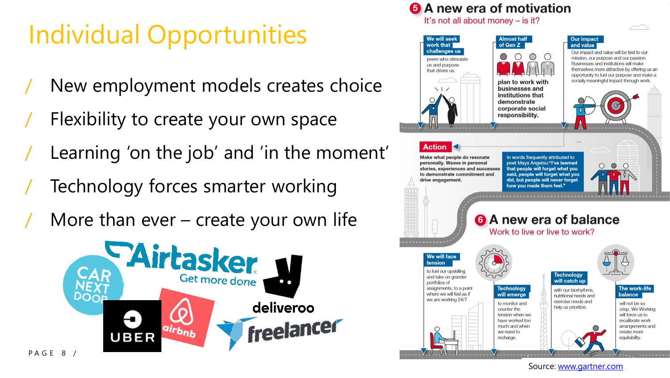### Individual Opportunities

- New employment models creates choice
- Flexibility to create your own space
- Learning 'on the job' and 'in the moment'
- Technology forces smarter working
- More than ever  $-$  create your own life





Source: [www.gartner.com](https://emtemp.gcom.cloud/ngw/eventassets/en/conferences/chrus18/documents/gartner-reimaginehr-us-infographic-future-of-work-2018.pdf)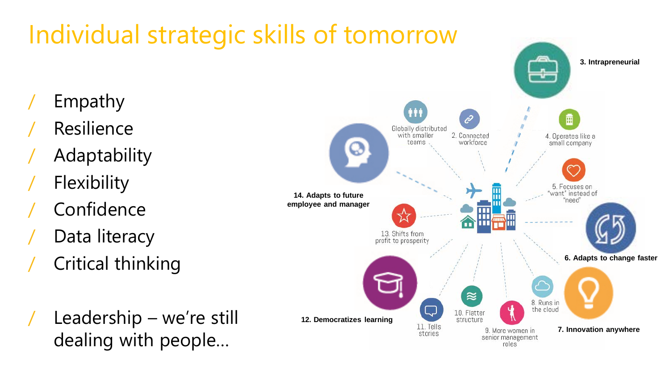## Individual strategic skills of tomorrow

- / Empathy
- **Resilience**
- / Adaptability
- **Flexibility**
- / Confidence
- Data literacy
- / Critical thinking
- Leadership we're still dealing with people…